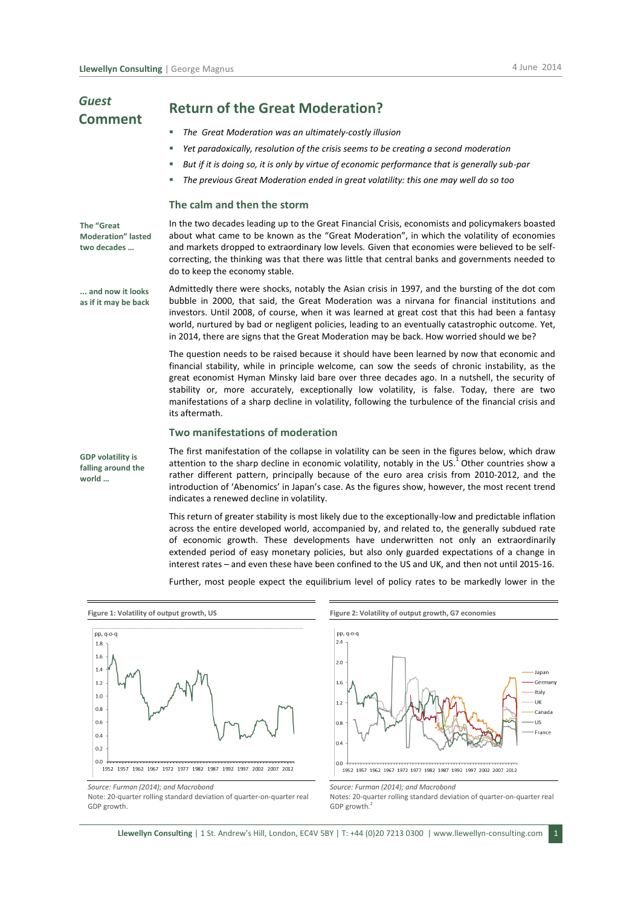| <b>Guest</b><br><b>Comment</b>                                 | <b>Return of the Great Moderation?</b>                                                                                                                                                                                                                                                                                                                                                                                                                                                                                       |
|----------------------------------------------------------------|------------------------------------------------------------------------------------------------------------------------------------------------------------------------------------------------------------------------------------------------------------------------------------------------------------------------------------------------------------------------------------------------------------------------------------------------------------------------------------------------------------------------------|
|                                                                | The Great Moderation was an ultimately-costly illusion<br>×                                                                                                                                                                                                                                                                                                                                                                                                                                                                  |
|                                                                | Yet paradoxically, resolution of the crisis seems to be creating a second moderation<br>×                                                                                                                                                                                                                                                                                                                                                                                                                                    |
|                                                                | But if it is doing so, it is only by virtue of economic performance that is generally sub-par<br>×                                                                                                                                                                                                                                                                                                                                                                                                                           |
|                                                                | The previous Great Moderation ended in great volatility: this one may well do so too<br>×                                                                                                                                                                                                                                                                                                                                                                                                                                    |
|                                                                | The calm and then the storm                                                                                                                                                                                                                                                                                                                                                                                                                                                                                                  |
| <b>The "Great</b><br><b>Moderation</b> " lasted<br>two decades | In the two decades leading up to the Great Financial Crisis, economists and policymakers boasted<br>about what came to be known as the "Great Moderation", in which the volatility of economies<br>and markets dropped to extraordinary low levels. Given that economies were believed to be self-<br>correcting, the thinking was that there was little that central banks and governments needed to<br>do to keep the economy stable.                                                                                      |
| and now it looks<br>as if it may be back                       | Admittedly there were shocks, notably the Asian crisis in 1997, and the bursting of the dot com<br>bubble in 2000, that said, the Great Moderation was a nirvana for financial institutions and<br>investors. Until 2008, of course, when it was learned at great cost that this had been a fantasy<br>world, nurtured by bad or negligent policies, leading to an eventually catastrophic outcome. Yet,<br>in 2014, there are signs that the Great Moderation may be back. How worried should we be?                        |
|                                                                | The question needs to be raised because it should have been learned by now that economic and<br>financial stability, while in principle welcome, can sow the seeds of chronic instability, as the<br>great economist Hyman Minsky laid bare over three decades ago. In a nutshell, the security of<br>stability or, more accurately, exceptionally low volatility, is false. Today, there are two<br>manifestations of a sharp decline in volatility, following the turbulence of the financial crisis and<br>its aftermath. |
|                                                                | Two manifestations of moderation                                                                                                                                                                                                                                                                                                                                                                                                                                                                                             |
| <b>GDP</b> volatility is<br>falling around the<br>world        | The first manifestation of the collapse in volatility can be seen in the figures below, which draw<br>attention to the sharp decline in economic volatility, notably in the US. <sup>1</sup> Other countries show a<br>rather different pattern, principally because of the euro area crisis from 2010-2012, and the<br>introduction of 'Abenomics' in Japan's case. As the figures show, however, the most recent trend<br>indicates a renewed decline in volatility.                                                       |
|                                                                | This return of greater stability is most likely due to the exceptionally-low and predictable inflation<br>across the entire developed world, accompanied by, and related to, the generally subdued rate<br>of economic growth. These developments have underwritten not only an extraordinarily                                                                                                                                                                                                                              |

interest rates – and even these have been confined to the US and UK, and then not until 2015-16. Further, most people expect the equilibrium level of policy rates to be markedly lower in the

extended period of easy monetary policies, but also only guarded expectations of a change in



*Source: Furman (2014); and Macrobond*

Note: 20-quarter rolling standard deviation of quarter-on-quarter real GDP growth.



*Source: Furman (2014); and Macrobond*

Notes: 20-quarter rolling standard deviation of quarter-on-quarter real GDP growth. 2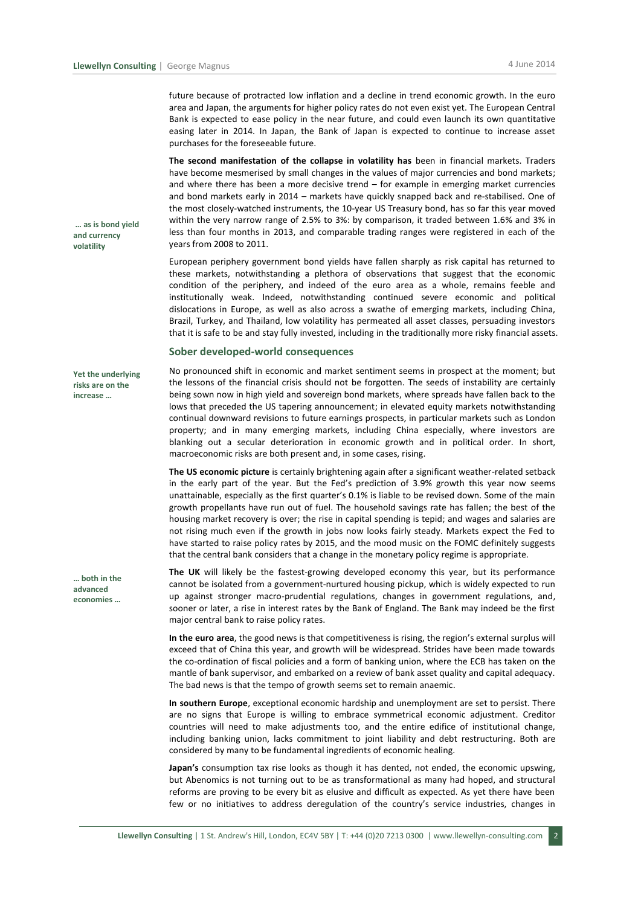future because of protracted low inflation and a decline in trend economic growth. In the euro area and Japan, the arguments for higher policy rates do not even exist yet. The European Central Bank is expected to ease policy in the near future, and could even launch its own quantitative easing later in 2014. In Japan, the Bank of Japan is expected to continue to increase asset purchases for the foreseeable future.

**The second manifestation of the collapse in volatility has** been in financial markets. Traders have become mesmerised by small changes in the values of major currencies and bond markets; and where there has been a more decisive trend – for example in emerging market currencies and bond markets early in 2014 – markets have quickly snapped back and re-stabilised. One of the most closely-watched instruments, the 10-year US Treasury bond, has so far this year moved within the very narrow range of 2.5% to 3%: by comparison, it traded between 1.6% and 3% in less than four months in 2013, and comparable trading ranges were registered in each of the years from 2008 to 2011.

European periphery government bond yields have fallen sharply as risk capital has returned to these markets, notwithstanding a plethora of observations that suggest that the economic condition of the periphery, and indeed of the euro area as a whole, remains feeble and institutionally weak. Indeed, notwithstanding continued severe economic and political dislocations in Europe, as well as also across a swathe of emerging markets, including China, Brazil, Turkey, and Thailand, low volatility has permeated all asset classes, persuading investors that it is safe to be and stay fully invested, including in the traditionally more risky financial assets.

## **Sober developed-world consequences**

No pronounced shift in economic and market sentiment seems in prospect at the moment; but the lessons of the financial crisis should not be forgotten. The seeds of instability are certainly being sown now in high yield and sovereign bond markets, where spreads have fallen back to the lows that preceded the US tapering announcement; in elevated equity markets notwithstanding continual downward revisions to future earnings prospects, in particular markets such as London property; and in many emerging markets, including China especially, where investors are blanking out a secular deterioration in economic growth and in political order. In short, macroeconomic risks are both present and, in some cases, rising.

**The US economic picture** is certainly brightening again after a significant weather-related setback in the early part of the year. But the Fed's prediction of 3.9% growth this year now seems unattainable, especially as the first quarter's 0.1% is liable to be revised down. Some of the main growth propellants have run out of fuel. The household savings rate has fallen; the best of the housing market recovery is over; the rise in capital spending is tepid; and wages and salaries are not rising much even if the growth in jobs now looks fairly steady. Markets expect the Fed to have started to raise policy rates by 2015, and the mood music on the FOMC definitely suggests that the central bank considers that a change in the monetary policy regime is appropriate.

**The UK** will likely be the fastest-growing developed economy this year, but its performance cannot be isolated from a government-nurtured housing pickup, which is widely expected to run up against stronger macro-prudential regulations, changes in government regulations, and, sooner or later, a rise in interest rates by the Bank of England. The Bank may indeed be the first major central bank to raise policy rates.

**In the euro area**, the good news is that competitiveness is rising, the region's external surplus will exceed that of China this year, and growth will be widespread. Strides have been made towards the co-ordination of fiscal policies and a form of banking union, where the ECB has taken on the mantle of bank supervisor, and embarked on a review of bank asset quality and capital adequacy. The bad news is that the tempo of growth seems set to remain anaemic.

**In southern Europe**, exceptional economic hardship and unemployment are set to persist. There are no signs that Europe is willing to embrace symmetrical economic adjustment. Creditor countries will need to make adjustments too, and the entire edifice of institutional change, including banking union, lacks commitment to joint liability and debt restructuring. Both are considered by many to be fundamental ingredients of economic healing.

**Japan's** consumption tax rise looks as though it has dented, not ended, the economic upswing, but Abenomics is not turning out to be as transformational as many had hoped, and structural reforms are proving to be every bit as elusive and difficult as expected. As yet there have been few or no initiatives to address deregulation of the country's service industries, changes in

**… as is bond yield and currency volatility**

**Yet the underlying risks are on the increase …**

**… both in the advanced economies …**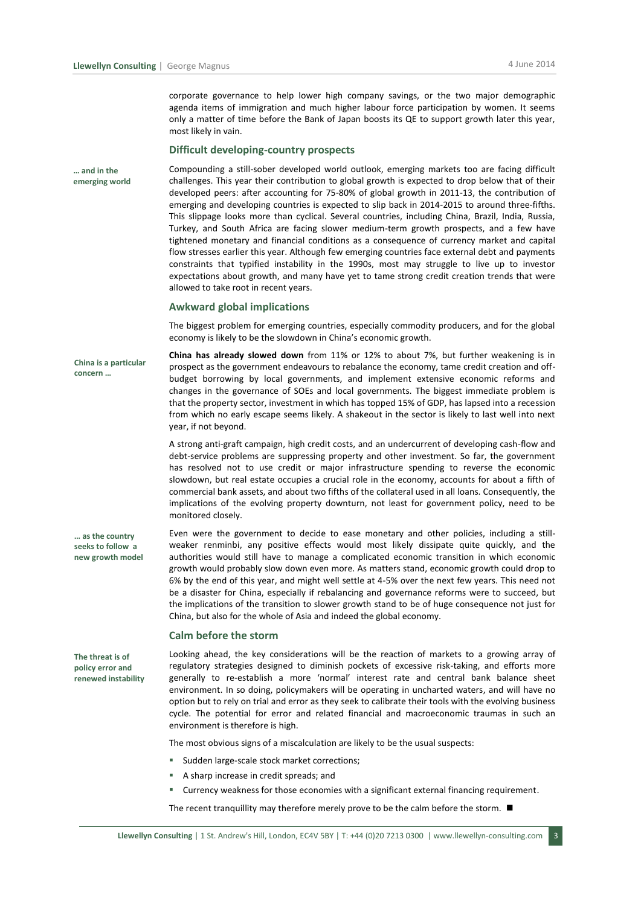corporate governance to help lower high company savings, or the two major demographic agenda items of immigration and much higher labour force participation by women. It seems only a matter of time before the Bank of Japan boosts its QE to support growth later this year, most likely in vain.

### **Difficult developing-country prospects**

**… and in the emerging world** Compounding a still-sober developed world outlook, emerging markets too are facing difficult challenges. This year their contribution to global growth is expected to drop below that of their developed peers: after accounting for 75-80% of global growth in 2011-13, the contribution of emerging and developing countries is expected to slip back in 2014-2015 to around three-fifths. This slippage looks more than cyclical. Several countries, including China, Brazil, India, Russia, Turkey, and South Africa are facing slower medium-term growth prospects, and a few have tightened monetary and financial conditions as a consequence of currency market and capital flow stresses earlier this year. Although few emerging countries face external debt and payments constraints that typified instability in the 1990s, most may struggle to live up to investor expectations about growth, and many have yet to tame strong credit creation trends that were allowed to take root in recent years.

#### **Awkward global implications**

The biggest problem for emerging countries, especially commodity producers, and for the global economy is likely to be the slowdown in China's economic growth.

**China is a particular concern …**

**China has already slowed down** from 11% or 12% to about 7%, but further weakening is in prospect as the government endeavours to rebalance the economy, tame credit creation and offbudget borrowing by local governments, and implement extensive economic reforms and changes in the governance of SOEs and local governments. The biggest immediate problem is that the property sector, investment in which has topped 15% of GDP, has lapsed into a recession from which no early escape seems likely. A shakeout in the sector is likely to last well into next year, if not beyond.

A strong anti-graft campaign, high credit costs, and an undercurrent of developing cash-flow and debt-service problems are suppressing property and other investment. So far, the government has resolved not to use credit or major infrastructure spending to reverse the economic slowdown, but real estate occupies a crucial role in the economy, accounts for about a fifth of commercial bank assets, and about two fifths of the collateral used in all loans. Consequently, the implications of the evolving property downturn, not least for government policy, need to be monitored closely.

Even were the government to decide to ease monetary and other policies, including a stillweaker renminbi, any positive effects would most likely dissipate quite quickly, and the authorities would still have to manage a complicated economic transition in which economic growth would probably slow down even more. As matters stand, economic growth could drop to 6% by the end of this year, and might well settle at 4-5% over the next few years. This need not be a disaster for China, especially if rebalancing and governance reforms were to succeed, but the implications of the transition to slower growth stand to be of huge consequence not just for China, but also for the whole of Asia and indeed the global economy.

# **Calm before the storm**

**The threat is of policy error and renewed instability**

**… as the country seeks to follow a new growth model**

> Looking ahead, the key considerations will be the reaction of markets to a growing array of regulatory strategies designed to diminish pockets of excessive risk-taking, and efforts more generally to re-establish a more 'normal' interest rate and central bank balance sheet environment. In so doing, policymakers will be operating in uncharted waters, and will have no option but to rely on trial and error as they seek to calibrate their tools with the evolving business cycle. The potential for error and related financial and macroeconomic traumas in such an environment is therefore is high.

The most obvious signs of a miscalculation are likely to be the usual suspects:

- **Sudden large-scale stock market corrections;**
- A sharp increase in credit spreads; and

Currency weakness for those economies with a significant external financing requirement.

The recent tranquillity may therefore merely prove to be the calm before the storm.  $\blacksquare$